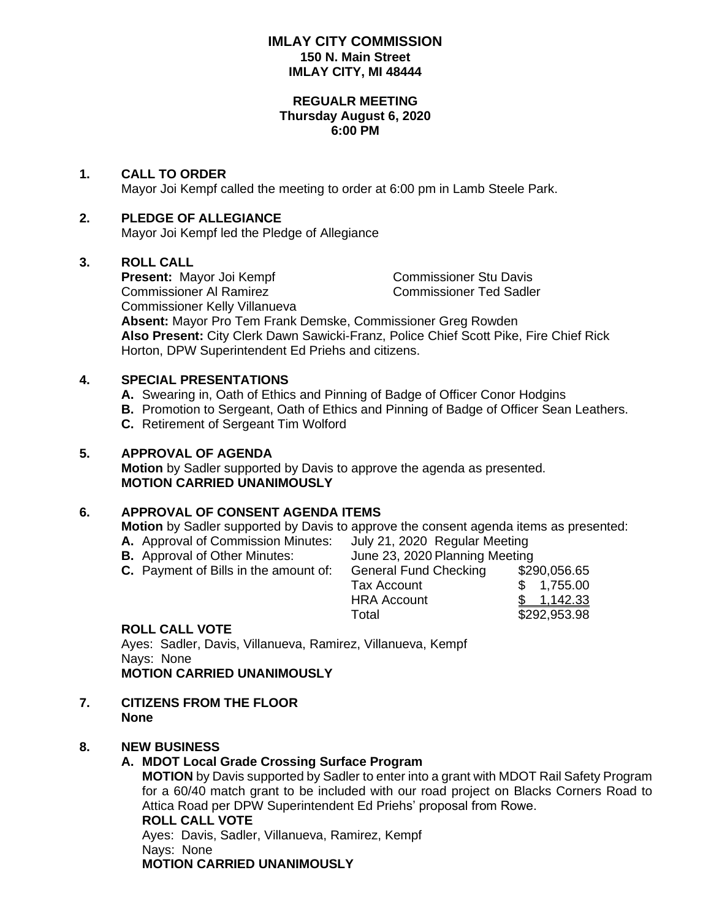### **IMLAY CITY COMMISSION 150 N. Main Street IMLAY CITY, MI 48444**

### **REGUALR MEETING Thursday August 6, 2020 6:00 PM**

### **1. CALL TO ORDER**

Mayor Joi Kempf called the meeting to order at 6:00 pm in Lamb Steele Park.

### **2. PLEDGE OF ALLEGIANCE**

Mayor Joi Kempf led the Pledge of Allegiance

### **3. ROLL CALL**

**Present:** Mayor Joi Kempf Commissioner Stu Davis Commissioner Al Ramirez Commissioner Ted Sadler Commissioner Kelly Villanueva **Absent:** Mayor Pro Tem Frank Demske, Commissioner Greg Rowden **Also Present:** City Clerk Dawn Sawicki-Franz, Police Chief Scott Pike, Fire Chief Rick Horton, DPW Superintendent Ed Priehs and citizens.

### **4. SPECIAL PRESENTATIONS**

- **A.** Swearing in, Oath of Ethics and Pinning of Badge of Officer Conor Hodgins
- **B.** Promotion to Sergeant, Oath of Ethics and Pinning of Badge of Officer Sean Leathers.
- **C.** Retirement of Sergeant Tim Wolford

### **5. APPROVAL OF AGENDA**

**Motion** by Sadler supported by Davis to approve the agenda as presented. **MOTION CARRIED UNANIMOUSLY**

### **6. APPROVAL OF CONSENT AGENDA ITEMS**

**Motion** by Sadler supported by Davis to approve the consent agenda items as presented:

- **A.** Approval of Commission Minutes: July 21, 2020 Regular Meeting
- 

**B.** Approval of Other Minutes: June 23, 2020 Planning Meeting

**C.** Payment of Bills in the amount of: General Fund Checking \$290,056.65 Tax Account \$ 1,755.00 HRA Account \$ 1,142.33

Total \$292,953.98

### **ROLL CALL VOTE**

Ayes: Sadler, Davis, Villanueva, Ramirez, Villanueva, Kempf Nays: None **MOTION CARRIED UNANIMOUSLY**

**7. CITIZENS FROM THE FLOOR None**

## **8. NEW BUSINESS**

### **A. MDOT Local Grade Crossing Surface Program**

**MOTION** by Davis supported by Sadler to enter into a grant with MDOT Rail Safety Program for a 60/40 match grant to be included with our road project on Blacks Corners Road to Attica Road per DPW Superintendent Ed Priehs' proposal from Rowe.

### **ROLL CALL VOTE**

Ayes: Davis, Sadler, Villanueva, Ramirez, Kempf Nays: None **MOTION CARRIED UNANIMOUSLY**